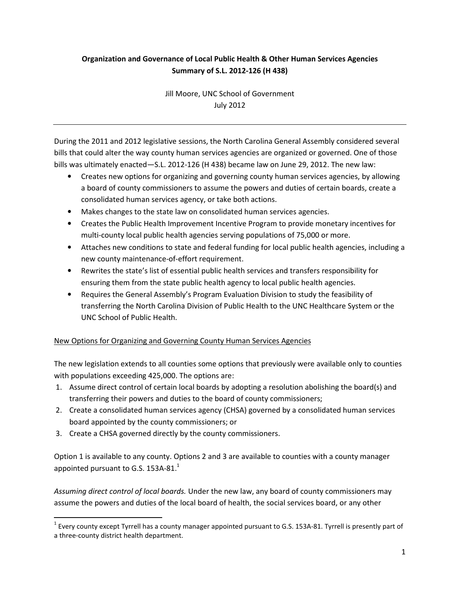# Organization and Governance of Local Public Health & Other Human Services Agencies Summary of S.L. 2012-126 (H 438)

Jill Moore, UNC School of Government July 2012

During the 2011 and 2012 legislative sessions, the North Carolina General Assembly considered several bills that could alter the way county human services agencies are organized or governed. One of those bills was ultimately enacted—S.L. 2012-126 (H 438) became law on June 29, 2012. The new law:

- Creates new options for organizing and governing county human services agencies, by allowing a board of county commissioners to assume the powers and duties of certain boards, create a consolidated human services agency, or take both actions.
- Makes changes to the state law on consolidated human services agencies.
- Creates the Public Health Improvement Incentive Program to provide monetary incentives for multi-county local public health agencies serving populations of 75,000 or more.
- Attaches new conditions to state and federal funding for local public health agencies, including a new county maintenance-of-effort requirement.
- Rewrites the state's list of essential public health services and transfers responsibility for ensuring them from the state public health agency to local public health agencies.
- Requires the General Assembly's Program Evaluation Division to study the feasibility of transferring the North Carolina Division of Public Health to the UNC Healthcare System or the UNC School of Public Health.

## New Options for Organizing and Governing County Human Services Agencies

The new legislation extends to all counties some options that previously were available only to counties with populations exceeding 425,000. The options are:

- 1. Assume direct control of certain local boards by adopting a resolution abolishing the board(s) and transferring their powers and duties to the board of county commissioners;
- 2. Create a consolidated human services agency (CHSA) governed by a consolidated human services board appointed by the county commissioners; or
- 3. Create a CHSA governed directly by the county commissioners.

 $\overline{a}$ 

Option 1 is available to any county. Options 2 and 3 are available to counties with a county manager appointed pursuant to G.S. 153A-81. $^1$ 

Assuming direct control of local boards. Under the new law, any board of county commissioners may assume the powers and duties of the local board of health, the social services board, or any other

 $^1$  Every county except Tyrrell has a county manager appointed pursuant to G.S. 153A-81. Tyrrell is presently part of a three-county district health department.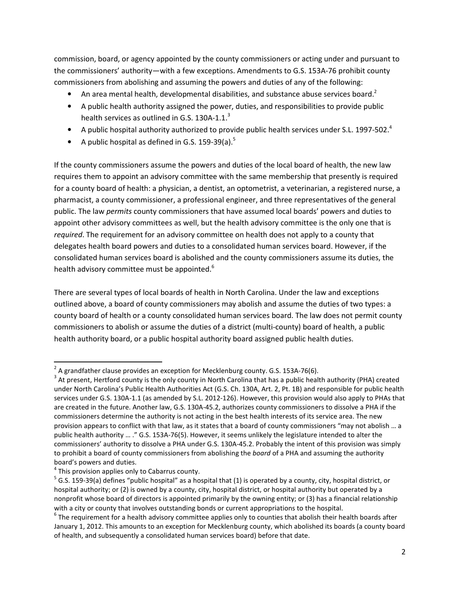commission, board, or agency appointed by the county commissioners or acting under and pursuant to the commissioners' authority—with a few exceptions. Amendments to G.S. 153A-76 prohibit county commissioners from abolishing and assuming the powers and duties of any of the following:

- An area mental health, developmental disabilities, and substance abuse services board.<sup>2</sup>
- A public health authority assigned the power, duties, and responsibilities to provide public health services as outlined in G.S. 130A-1.1.<sup>3</sup>
- A public hospital authority authorized to provide public health services under S.L. 1997-502.<sup>4</sup>
- A public hospital as defined in G.S. 159-39(a).<sup>5</sup>

If the county commissioners assume the powers and duties of the local board of health, the new law requires them to appoint an advisory committee with the same membership that presently is required for a county board of health: a physician, a dentist, an optometrist, a veterinarian, a registered nurse, a pharmacist, a county commissioner, a professional engineer, and three representatives of the general public. The law *permits* county commissioners that have assumed local boards' powers and duties to appoint other advisory committees as well, but the health advisory committee is the only one that is required. The requirement for an advisory committee on health does not apply to a county that delegates health board powers and duties to a consolidated human services board. However, if the consolidated human services board is abolished and the county commissioners assume its duties, the health advisory committee must be appointed.<sup>6</sup>

There are several types of local boards of health in North Carolina. Under the law and exceptions outlined above, a board of county commissioners may abolish and assume the duties of two types: a county board of health or a county consolidated human services board. The law does not permit county commissioners to abolish or assume the duties of a district (multi-county) board of health, a public health authority board, or a public hospital authority board assigned public health duties.

erties and the relation of the control of the set of the control of the control of the grandfather clause provides an exception for Mecklenburg county. G.S. 153A-76(6).

 $3$  At present, Hertford county is the only county in North Carolina that has a public health authority (PHA) created under North Carolina's Public Health Authorities Act (G.S. Ch. 130A, Art. 2, Pt. 1B) and responsible for public health services under G.S. 130A-1.1 (as amended by S.L. 2012-126). However, this provision would also apply to PHAs that are created in the future. Another law, G.S. 130A-45.2, authorizes county commissioners to dissolve a PHA if the commissioners determine the authority is not acting in the best health interests of its service area. The new provision appears to conflict with that law, as it states that a board of county commissioners "may not abolish … a public health authority … ." G.S. 153A-76(5). However, it seems unlikely the legislature intended to alter the commissioners' authority to dissolve a PHA under G.S. 130A-45.2. Probably the intent of this provision was simply to prohibit a board of county commissioners from abolishing the board of a PHA and assuming the authority board's powers and duties.

 $<sup>4</sup>$  This provision applies only to Cabarrus county.</sup>

 $^5$  G.S. 159-39(a) defines "public hospital" as a hospital that (1) is operated by a county, city, hospital district, or hospital authority; or (2) is owned by a county, city, hospital district, or hospital authority but operated by a nonprofit whose board of directors is appointed primarily by the owning entity; or (3) has a financial relationship with a city or county that involves outstanding bonds or current appropriations to the hospital.

 $^6$  The requirement for a health advisory committee applies only to counties that abolish their health boards after January 1, 2012. This amounts to an exception for Mecklenburg county, which abolished its boards (a county board of health, and subsequently a consolidated human services board) before that date.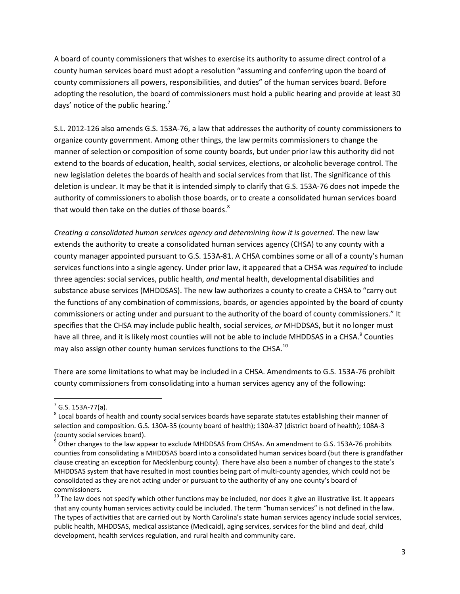A board of county commissioners that wishes to exercise its authority to assume direct control of a county human services board must adopt a resolution "assuming and conferring upon the board of county commissioners all powers, responsibilities, and duties" of the human services board. Before adopting the resolution, the board of commissioners must hold a public hearing and provide at least 30 days' notice of the public hearing.<sup>7</sup>

S.L. 2012-126 also amends G.S. 153A-76, a law that addresses the authority of county commissioners to organize county government. Among other things, the law permits commissioners to change the manner of selection or composition of some county boards, but under prior law this authority did not extend to the boards of education, health, social services, elections, or alcoholic beverage control. The new legislation deletes the boards of health and social services from that list. The significance of this deletion is unclear. It may be that it is intended simply to clarify that G.S. 153A-76 does not impede the authority of commissioners to abolish those boards, or to create a consolidated human services board that would then take on the duties of those boards.<sup>8</sup>

Creating a consolidated human services agency and determining how it is governed. The new law extends the authority to create a consolidated human services agency (CHSA) to any county with a county manager appointed pursuant to G.S. 153A-81. A CHSA combines some or all of a county's human services functions into a single agency. Under prior law, it appeared that a CHSA was required to include three agencies: social services, public health, and mental health, developmental disabilities and substance abuse services (MHDDSAS). The new law authorizes a county to create a CHSA to "carry out the functions of any combination of commissions, boards, or agencies appointed by the board of county commissioners or acting under and pursuant to the authority of the board of county commissioners." It specifies that the CHSA may include public health, social services, or MHDDSAS, but it no longer must have all three, and it is likely most counties will not be able to include MHDDSAS in a CHSA.<sup>9</sup> Counties may also assign other county human services functions to the CHSA.<sup>10</sup>

There are some limitations to what may be included in a CHSA. Amendments to G.S. 153A-76 prohibit county commissioners from consolidating into a human services agency any of the following:

 $\overline{a}$ 

 $<sup>7</sup>$  G.S. 153A-77(a).</sup>

 $^8$  Local boards of health and county social services boards have separate statutes establishing their manner of selection and composition. G.S. 130A-35 (county board of health); 130A-37 (district board of health); 108A-3 (county social services board).

<sup>&</sup>lt;sup>9</sup> Other changes to the law appear to exclude MHDDSAS from CHSAs. An amendment to G.S. 153A-76 prohibits counties from consolidating a MHDDSAS board into a consolidated human services board (but there is grandfather clause creating an exception for Mecklenburg county). There have also been a number of changes to the state's MHDDSAS system that have resulted in most counties being part of multi-county agencies, which could not be consolidated as they are not acting under or pursuant to the authority of any one county's board of commissioners.

 $10$  The law does not specify which other functions may be included, nor does it give an illustrative list. It appears that any county human services activity could be included. The term "human services" is not defined in the law. The types of activities that are carried out by North Carolina's state human services agency include social services, public health, MHDDSAS, medical assistance (Medicaid), aging services, services for the blind and deaf, child development, health services regulation, and rural health and community care.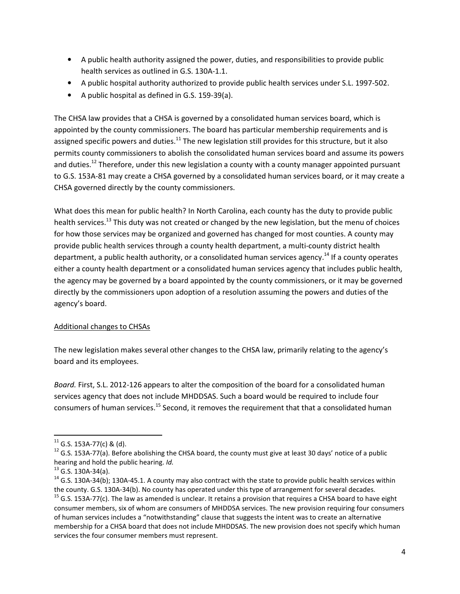- A public health authority assigned the power, duties, and responsibilities to provide public health services as outlined in G.S. 130A-1.1.
- A public hospital authority authorized to provide public health services under S.L. 1997-502.
- A public hospital as defined in G.S. 159-39(a).

The CHSA law provides that a CHSA is governed by a consolidated human services board, which is appointed by the county commissioners. The board has particular membership requirements and is assigned specific powers and duties.<sup>11</sup> The new legislation still provides for this structure, but it also permits county commissioners to abolish the consolidated human services board and assume its powers and duties.<sup>12</sup> Therefore, under this new legislation a county with a county manager appointed pursuant to G.S. 153A-81 may create a CHSA governed by a consolidated human services board, or it may create a CHSA governed directly by the county commissioners.

What does this mean for public health? In North Carolina, each county has the duty to provide public health services.<sup>13</sup> This duty was not created or changed by the new legislation, but the menu of choices for how those services may be organized and governed has changed for most counties. A county may provide public health services through a county health department, a multi-county district health department, a public health authority, or a consolidated human services agency.<sup>14</sup> If a county operates either a county health department or a consolidated human services agency that includes public health, the agency may be governed by a board appointed by the county commissioners, or it may be governed directly by the commissioners upon adoption of a resolution assuming the powers and duties of the agency's board.

#### Additional changes to CHSAs

The new legislation makes several other changes to the CHSA law, primarily relating to the agency's board and its employees.

Board. First, S.L. 2012-126 appears to alter the composition of the board for a consolidated human services agency that does not include MHDDSAS. Such a board would be required to include four consumers of human services.<sup>15</sup> Second, it removes the requirement that that a consolidated human

 $\overline{a}$ 

 $11$  G.S. 153A-77(c) & (d).

 $12$  G.S. 153A-77(a). Before abolishing the CHSA board, the county must give at least 30 days' notice of a public hearing and hold the public hearing. Id.

 $13$  G.S. 130A-34(a).

 $14$  G.S. 130A-34(b); 130A-45.1. A county may also contract with the state to provide public health services within the county. G.S. 130A-34(b). No county has operated under this type of arrangement for several decades.

 $<sup>15</sup>$  G.S. 153A-77(c). The law as amended is unclear. It retains a provision that requires a CHSA board to have eight</sup> consumer members, six of whom are consumers of MHDDSA services. The new provision requiring four consumers of human services includes a "notwithstanding" clause that suggests the intent was to create an alternative membership for a CHSA board that does not include MHDDSAS. The new provision does not specify which human services the four consumer members must represent.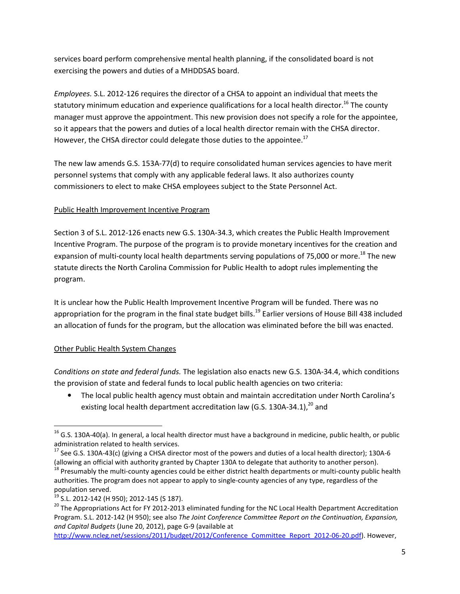services board perform comprehensive mental health planning, if the consolidated board is not exercising the powers and duties of a MHDDSAS board.

Employees. S.L. 2012-126 requires the director of a CHSA to appoint an individual that meets the statutory minimum education and experience qualifications for a local health director.<sup>16</sup> The county manager must approve the appointment. This new provision does not specify a role for the appointee, so it appears that the powers and duties of a local health director remain with the CHSA director. However, the CHSA director could delegate those duties to the appointee.<sup>17</sup>

The new law amends G.S. 153A-77(d) to require consolidated human services agencies to have merit personnel systems that comply with any applicable federal laws. It also authorizes county commissioners to elect to make CHSA employees subject to the State Personnel Act.

### Public Health Improvement Incentive Program

Section 3 of S.L. 2012-126 enacts new G.S. 130A-34.3, which creates the Public Health Improvement Incentive Program. The purpose of the program is to provide monetary incentives for the creation and expansion of multi-county local health departments serving populations of 75,000 or more.<sup>18</sup> The new statute directs the North Carolina Commission for Public Health to adopt rules implementing the program.

It is unclear how the Public Health Improvement Incentive Program will be funded. There was no appropriation for the program in the final state budget bills.<sup>19</sup> Earlier versions of House Bill 438 included an allocation of funds for the program, but the allocation was eliminated before the bill was enacted.

## Other Public Health System Changes

 $\overline{\phantom{0}}$ 

Conditions on state and federal funds. The legislation also enacts new G.S. 130A-34.4, which conditions the provision of state and federal funds to local public health agencies on two criteria:

• The local public health agency must obtain and maintain accreditation under North Carolina's existing local health department accreditation law (G.S. 130A-34.1), $^{20}$  and

 $^{16}$  G.S. 130A-40(a). In general, a local health director must have a background in medicine, public health, or public administration related to health services.

<sup>&</sup>lt;sup>17</sup> See G.S. 130A-43(c) (giving a CHSA director most of the powers and duties of a local health director); 130A-6 (allowing an official with authority granted by Chapter 130A to delegate that authority to another person).

<sup>&</sup>lt;sup>18</sup> Presumably the multi-county agencies could be either district health departments or multi-county public health authorities. The program does not appear to apply to single-county agencies of any type, regardless of the population served.

<sup>&</sup>lt;sup>19</sup> S.L. 2012-142 (H 950); 2012-145 (S 187).

<sup>&</sup>lt;sup>20</sup> The Appropriations Act for FY 2012-2013 eliminated funding for the NC Local Health Department Accreditation Program. S.L. 2012-142 (H 950); see also The Joint Conference Committee Report on the Continuation, Expansion, and Capital Budgets (June 20, 2012), page G-9 (available at

http://www.ncleg.net/sessions/2011/budget/2012/Conference\_Committee\_Report\_2012-06-20.pdf). However,